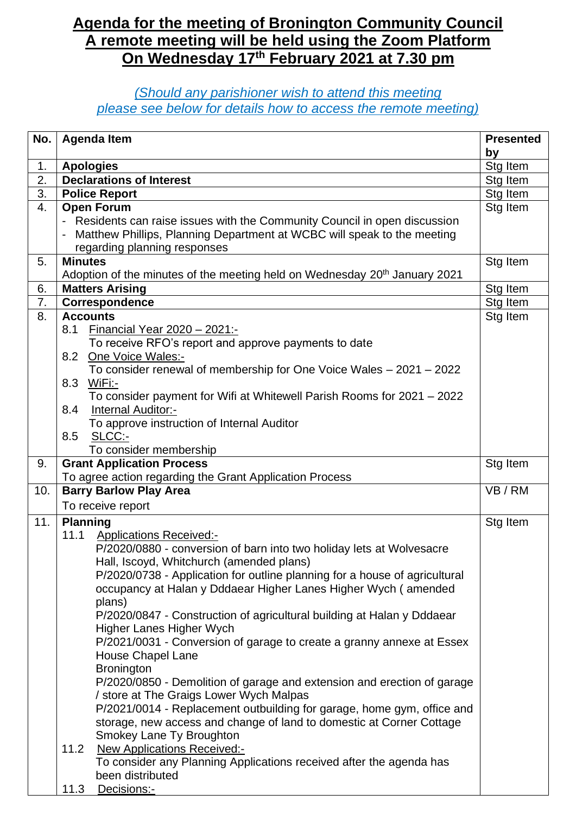## **Agenda for the meeting of Bronington Community Council A remote meeting will be held using the Zoom Platform On Wednesday 17th February 2021 at 7.30 pm**

## *(Should any parishioner wish to attend this meeting please see below for details how to access the remote meeting)*

| No.      | <b>Agenda Item</b>                                                                                                                                  | <b>Presented</b> |
|----------|-----------------------------------------------------------------------------------------------------------------------------------------------------|------------------|
|          |                                                                                                                                                     | by               |
| 1.<br>2. | <b>Apologies</b><br><b>Declarations of Interest</b>                                                                                                 | Stg Item         |
|          |                                                                                                                                                     | Stg Item         |
| 3.       | <b>Police Report</b>                                                                                                                                | Stg Item         |
| 4.       | <b>Open Forum</b>                                                                                                                                   | Stg Item         |
|          | Residents can raise issues with the Community Council in open discussion<br>Matthew Phillips, Planning Department at WCBC will speak to the meeting |                  |
|          | regarding planning responses                                                                                                                        |                  |
| 5.       | <b>Minutes</b>                                                                                                                                      | Stg Item         |
|          | Adoption of the minutes of the meeting held on Wednesday 20 <sup>th</sup> January 2021                                                              |                  |
| 6.       | <b>Matters Arising</b>                                                                                                                              | Stg Item         |
| 7.       | Correspondence                                                                                                                                      | Stg Item         |
| 8.       | <b>Accounts</b>                                                                                                                                     | Stg Item         |
|          | 8.1<br>Financial Year 2020 - 2021:-                                                                                                                 |                  |
|          | To receive RFO's report and approve payments to date                                                                                                |                  |
|          | One Voice Wales:-<br>8.2                                                                                                                            |                  |
|          | To consider renewal of membership for One Voice Wales - 2021 - 2022                                                                                 |                  |
|          | 8.3 WiFi:-                                                                                                                                          |                  |
|          | To consider payment for Wifi at Whitewell Parish Rooms for 2021 - 2022                                                                              |                  |
|          | Internal Auditor:-<br>8.4                                                                                                                           |                  |
|          | To approve instruction of Internal Auditor                                                                                                          |                  |
|          | 8.5<br>SLCC:-                                                                                                                                       |                  |
|          | To consider membership                                                                                                                              |                  |
| 9.       | <b>Grant Application Process</b>                                                                                                                    | Stg Item         |
|          | To agree action regarding the Grant Application Process                                                                                             |                  |
| 10.      | <b>Barry Barlow Play Area</b><br>To receive report                                                                                                  | VB / RM          |
|          |                                                                                                                                                     |                  |
| 11.      | <b>Planning</b>                                                                                                                                     | Stg Item         |
|          | 11.1 Applications Received:-<br>P/2020/0880 - conversion of barn into two holiday lets at Wolvesacre                                                |                  |
|          | Hall, Iscoyd, Whitchurch (amended plans)                                                                                                            |                  |
|          | P/2020/0738 - Application for outline planning for a house of agricultural                                                                          |                  |
|          | occupancy at Halan y Dddaear Higher Lanes Higher Wych (amended                                                                                      |                  |
|          | plans)                                                                                                                                              |                  |
|          | P/2020/0847 - Construction of agricultural building at Halan y Dddaear                                                                              |                  |
|          | Higher Lanes Higher Wych                                                                                                                            |                  |
|          | P/2021/0031 - Conversion of garage to create a granny annexe at Essex                                                                               |                  |
|          | <b>House Chapel Lane</b>                                                                                                                            |                  |
|          | <b>Bronington</b>                                                                                                                                   |                  |
|          | P/2020/0850 - Demolition of garage and extension and erection of garage                                                                             |                  |
|          | / store at The Graigs Lower Wych Malpas                                                                                                             |                  |
|          | P/2021/0014 - Replacement outbuilding for garage, home gym, office and                                                                              |                  |
|          | storage, new access and change of land to domestic at Corner Cottage                                                                                |                  |
|          | Smokey Lane Ty Broughton                                                                                                                            |                  |
|          | 11.2<br><b>New Applications Received:-</b>                                                                                                          |                  |
|          | To consider any Planning Applications received after the agenda has                                                                                 |                  |
|          | been distributed                                                                                                                                    |                  |
|          | 11.3<br>Decisions:-                                                                                                                                 |                  |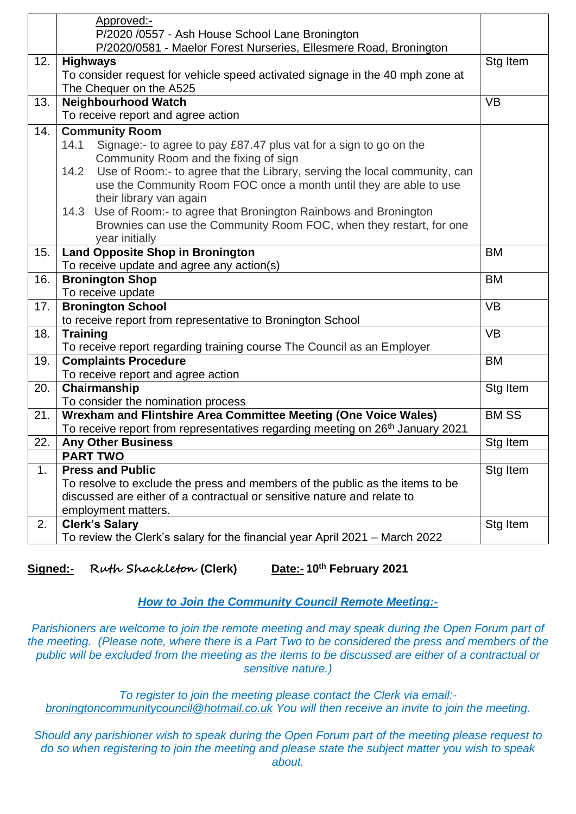|     | Approved:-                                                                                                           |             |
|-----|----------------------------------------------------------------------------------------------------------------------|-------------|
|     | P/2020 /0557 - Ash House School Lane Bronington<br>P/2020/0581 - Maelor Forest Nurseries, Ellesmere Road, Bronington |             |
| 12. | <b>Highways</b>                                                                                                      | Stg Item    |
|     | To consider request for vehicle speed activated signage in the 40 mph zone at                                        |             |
|     | The Chequer on the A525                                                                                              |             |
| 13. | <b>Neighbourhood Watch</b>                                                                                           | <b>VB</b>   |
|     | To receive report and agree action                                                                                   |             |
| 14. | <b>Community Room</b>                                                                                                |             |
|     | 14.1<br>Signage:- to agree to pay £87.47 plus vat for a sign to go on the                                            |             |
|     | Community Room and the fixing of sign                                                                                |             |
|     | Use of Room:- to agree that the Library, serving the local community, can<br>14.2                                    |             |
|     | use the Community Room FOC once a month until they are able to use                                                   |             |
|     | their library van again                                                                                              |             |
|     | Use of Room:- to agree that Bronington Rainbows and Bronington<br>14.3                                               |             |
|     | Brownies can use the Community Room FOC, when they restart, for one                                                  |             |
|     | year initially                                                                                                       |             |
| 15. | <b>Land Opposite Shop in Bronington</b>                                                                              | <b>BM</b>   |
|     | To receive update and agree any action(s)                                                                            |             |
| 16. | <b>Bronington Shop</b>                                                                                               | <b>BM</b>   |
|     | To receive update                                                                                                    |             |
| 17. | <b>Bronington School</b>                                                                                             | <b>VB</b>   |
|     | to receive report from representative to Bronington School                                                           |             |
| 18. | <b>Training</b>                                                                                                      | <b>VB</b>   |
|     | To receive report regarding training course The Council as an Employer                                               |             |
| 19. | <b>Complaints Procedure</b>                                                                                          | <b>BM</b>   |
|     | To receive report and agree action                                                                                   |             |
| 20. | Chairmanship                                                                                                         | Stg Item    |
|     | To consider the nomination process                                                                                   |             |
| 21. | Wrexham and Flintshire Area Committee Meeting (One Voice Wales)                                                      | <b>BMSS</b> |
|     | To receive report from representatives regarding meeting on 26 <sup>th</sup> January 2021                            |             |
| 22. | <b>Any Other Business</b>                                                                                            | Stg Item    |
|     | <b>PART TWO</b>                                                                                                      |             |
| 1.  | <b>Press and Public</b>                                                                                              | Stg Item    |
|     | To resolve to exclude the press and members of the public as the items to be                                         |             |
|     | discussed are either of a contractual or sensitive nature and relate to                                              |             |
|     | employment matters.                                                                                                  |             |
| 2.  | <b>Clerk's Salary</b>                                                                                                | Stg Item    |
|     | To review the Clerk's salary for the financial year April 2021 - March 2022                                          |             |

**Signed:-** Ruth Shackleton (Clerk) **th February 2021**

## *How to Join the Community Council Remote Meeting:-*

*Parishioners are welcome to join the remote meeting and may speak during the Open Forum part of the meeting. (Please note, where there is a Part Two to be considered the press and members of the* public will be excluded from the meeting as the items to be discussed are either of a contractual or *sensitive nature.)*

*To register to join the meeting please contact the Clerk via email: [broningtoncommunitycouncil@hotmail.co.uk](mailto:broningtoncommunitycouncil@hotmail.co.uk) You will then receive an invite to join the meeting.*

*Should any parishioner wish to speak during the Open Forum part of the meeting please request to do so when registering to join the meeting and please state the subject matter you wish to speak about.*